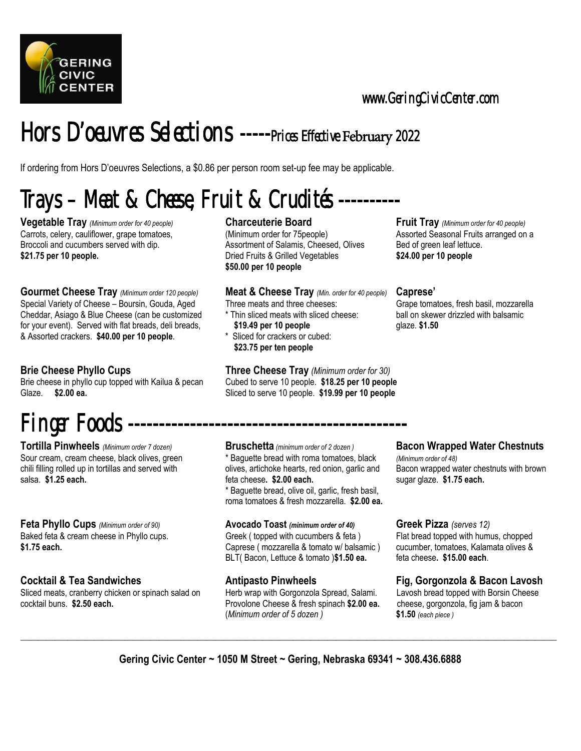

www.GeringCivicCenter.com

### Hors D'oeuvres Selections -----Prices Effective February 2022

If ordering from Hors D'oeuvres Selections, a \$0.86 per person room set-up fee may be applicable.

## Trays – Meat & Cheese, Fruit & Crudités ----------

**Vegetable Tray** *(Minimum order for 40 people)* **Charceuterie Board Fruit Tray** *(Minimum order for 40 people)* **Charceuterie Board Fruit Tray** *(Minimum order for 40 people)* Carrots, celery, cauliflower, grape tomatoes, (Minimum order for 75people) Assorted Seasonal Fruits arranged on a Broccoli and cucumbers served with dip. Assortment of Salamis, Cheesed, Olives Bed of green leaf lettuce. **\$21.75 per 10 people.** Dried Fruits & Grilled Vegetables **\$24.00 per 10 people**

**Gourmet Cheese Tray** *(Minimum order 120 people)* **Meat & Cheese Tray** *(Min. order for 40 people)* **Caprese'**  Special Variety of Cheese – Boursin, Gouda, Aged Three meats and three cheeses: Grape tomatoes, fresh basil, mozzarella<br>Cheddar, Asiago & Blue Cheese (can be customized \* Thin sliced meats with sliced cheese: ball on skewe Cheddar, Asiago & Blue Cheese (can be customized for your event). Served with flat breads, deli breads, **\$19.49 per 10 people** glaze. \$1.50 & Assorted crackers. **\$40.00 per 10 people**. \* Sliced for crackers or cubed:

Brie cheese in phyllo cup topped with Kailua & pecan Cubed to serve 10 people. **\$18.25 per 10 people**  Glaze. **\$2.00 ea.** Sliced to serve 10 people. **\$19.99 per 10 people**

## Finger Foods

**Tortilla Pinwheels** *(Minimum order 7 dozen)* **Bruschetta** *(minimum order of 2 dozen )* **Bacon Wrapped Water Chestnuts**  Sour cream, cream cheese, black olives, green \* Baguette bread with roma tomatoes, black *(Minimum order of 48)*  chili filling rolled up in tortillas and served with olives, artichoke hearts, red onion, garlic and Bacon wrapped water chestnuts with brown<br>salsa. \$1.75 each. Salsa. \$1.75 each.

**Feta Phyllo Cups** *(Minimum order of 90)* **Avocado Toast** *(minimum order of 40)* **Greek Pizza** *(serves 12)*

Sliced meats, cranberry chicken or spinach salad on Herb wrap with Gorgonzola Spread, Salami. Lavosh bread topped with Borsin Cheese cocktail buns. **\$2.50 each.** Provolone Cheese & fresh spinach **\$2.00 ea.** cheese, gorgonzola, fig jam & bacon

**\$50.00 per 10 people** 

- 
- **\$23.75 per ten people**

**Brie Cheese Phyllo Cups Three Cheese Tray** *(Minimum order for 30)* 

salsa. **\$1.25 each.** feta cheese**. \$2.00 each.** sugar glaze. **\$1.75 each.** 

\* Baguette bread, olive oil, garlic, fresh basil, roma tomatoes & fresh mozzarella. **\$2.00 ea.**

Baked feta & cream cheese in Phyllo cups. Greek ( topped with cucumbers & feta ) Flat bread topped with humus, chopped  $\frac{1}{2}$ <br>Caprese ( mozzarella & tomato w/ balsamic ) cucumber. tomatoes. Kalamata olives & Caprese ( mozzarella & tomato w/ balsamic ) cucumber, tomatoes, Kalamata olives & BLT( Bacon, Lettuce & tomato )**\$1.50 ea.** feta cheese**. \$15.00 each**.

(*Minimum order of 5 dozen )* **\$1.50** *(each piece )* 

### **Cocktail & Tea Sandwiches The Cocktail & Tea Sandwiches Antipasto Pinwheels Fig, Gorgonzola & Bacon Lavosh**

**\_\_\_\_\_\_\_\_\_\_\_\_\_\_\_\_\_\_\_\_\_\_\_\_\_\_\_\_\_\_\_\_\_\_\_\_\_\_\_\_\_\_\_\_\_\_\_\_\_\_\_\_\_\_\_\_\_\_\_\_\_\_\_\_\_\_\_\_\_\_\_\_\_\_\_\_\_\_\_\_\_\_\_\_\_\_\_\_\_\_\_\_\_\_\_\_\_\_\_\_\_\_\_\_\_\_\_\_\_\_\_\_\_\_\_\_\_\_\_\_\_\_\_\_**